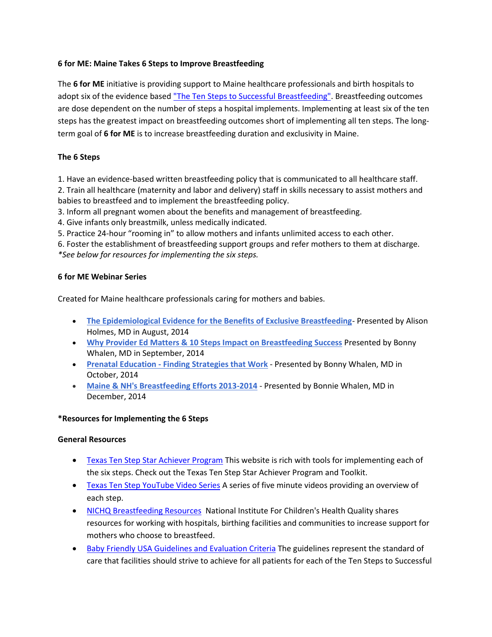## **6 for ME: Maine Takes 6 Steps to Improve Breastfeeding**

The **6 for ME** initiative is providing support to Maine healthcare professionals and birth hospitals to adopt six of the evidence base[d "The Ten Steps to Successful Breastfeeding".](http://www.babyfriendlyusa.org/about-us/baby-friendly-hospital-initiative/the-ten-steps) Breastfeeding outcomes are dose dependent on the number of steps a hospital implements. Implementing at least six of the ten steps has the greatest impact on breastfeeding outcomes short of implementing all ten steps. The longterm goal of **6 for ME** is to increase breastfeeding duration and exclusivity in Maine.

## **The 6 Steps**

1. Have an evidence-based written breastfeeding policy that is communicated to all healthcare staff.

2. Train all healthcare (maternity and labor and delivery) staff in skills necessary to assist mothers and babies to breastfeed and to implement the breastfeeding policy.

3. Inform all pregnant women about the benefits and management of breastfeeding.

4. Give infants only breastmilk, unless medically indicated.

5. Practice 24-hour "rooming in" to allow mothers and infants unlimited access to each other.

6. Foster the establishment of breastfeeding support groups and refer mothers to them at discharge. *\*See below for resources for implementing the six steps.*

#### **6 for ME Webinar Series**

Created for Maine healthcare professionals caring for mothers and babies.

- **[The Epidemiological Evidence for the Benefits of Exclusive Breastfeeding](http://vimeo.com/letsgo5210/review/103911028/ee3fa490c9)** Presented by Alison Holmes, MD in August, 2014
- **[Why Provider Ed Matters & 10 Steps Impact on Breastfeeding Success](http://stateofmaine.adobeconnect.com/p58mbqhoesb/)** Presented by Bonny Whalen, MD in September, 2014
- **Prenatal Education - [Finding Strategies that Work](http://stateofmaine.adobeconnect.com/p9pjstakfsi/)** Presented by Bonny Whalen, MD in October, 2014
- **[Maine & NH's Breastfeeding Efforts 2013-2014](http://stateofmaine.adobeconnect.com/me_nh_bfefforts)** Presented by Bonnie Whalen, MD in December, 2014

#### **\*Resources for Implementing the 6 Steps**

#### **General Resources**

- **[Texas Ten Step Star Achiever Program](http://texastenstep.org/star-achiever/) This website is rich with tools for implementing each of** the six steps. Check out the Texas Ten Step Star Achiever Program and Toolkit.
- **[Texas Ten Step YouTube Video Series](https://www.youtube.com/playlist?list=PL7xet9qFzOjXCJBHX_n7WeP2mB-IaeZh8)** A series of five minute videos providing an overview of each step.
- [NICHQ Breastfeeding Resources](http://breastfeeding.nichq.org/resources) National Institute For Children's Health Quality shares resources for working with hospitals, birthing facilities and communities to increase support for mothers who choose to breastfeed.
- **[Baby Friendly USA Guidelines and Evaluation Criteria](https://www.babyfriendlyusa.org/get-started/the-guidelines-evaluation-criteria) The guidelines represent the standard of** care that facilities should strive to achieve for all patients for each of the Ten Steps to Successful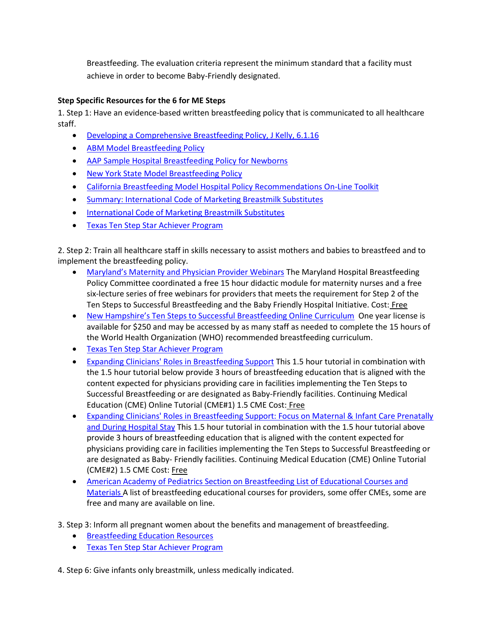Breastfeeding. The evaluation criteria represent the minimum standard that a facility must achieve in order to become Baby-Friendly designated.

# **Step Specific Resources for the 6 for ME Steps**

1. Step 1: Have an evidence-based written breastfeeding policy that is communicated to all healthcare staff.

- [Developing a Comprehensive Breastfeeding Policy, J Kelly, 6.1.16](http://www.maine.gov/dhhs/mecdc/population-health/hmp/panp/documents/Developing-Comprehensive-BF-Policy.pdf)
- [ABM Model Breastfeeding Policy](http://www.bfmed.org/Media/Files/Protocols/English%20Protocol%207%20Model%20Hospital%20Policy.pdf)
- [AAP Sample Hospital Breastfeeding Policy for Newborns](http://www2.aap.org/breastfeeding/curriculum/documents/pdf/Hospital%20Breastfeeding%20Policy_FINAL.pdf)
- [New York State Model Breastfeeding Policy](https://www.health.ny.gov/community/pregnancy/breastfeeding/docs/model_hospital_breastfeeding_policy.pdf)
- [California Breastfeeding Model Hospital Policy Recommendations On-Line Toolkit](https://www.cdph.ca.gov/healthinfo/healthyliving/childfamily/Pages/MainPageofBreastfeedingToolkit.aspx)
- [Summary: International Code of Marketing Breastmilk Substitutes](http://portal.ilca.org/files/events/ilca_conference/Exhibitor%20Resources/CodeSummary09.pdf)
- **[International Code of Marketing Breastmilk Substitutes](http://apps.who.int/iris/bitstream/10665/40382/1/9241541601.pdf)**
- **[Texas Ten Step Star Achiever Program](http://texastenstep.org/star-achiever/)**

2. Step 2: Train all healthcare staff in skills necessary to assist mothers and babies to breastfeed and to implement the breastfeeding policy.

- [Maryland's Maternity and Physician Provider Webinars](http://phpa.dhmh.maryland.gov/mch/Pages/Hospital_Breastfeeding_Resources.aspx) The Maryland Hospital Breastfeeding Policy Committee coordinated a free 15 hour didactic module for maternity nurses and a free six-lecture series of free webinars for providers that meets the requirement for Step 2 of the Ten Steps to Successful Breastfeeding and the Baby Friendly Hospital Initiative. Cost: Free
- [New Hampshire's Ten Steps to Successful Breastfeeding Online Curriculum](http://www.nhbreastfeedingtaskforce.org/) One year license is available for \$250 and may be accessed by as many staff as needed to complete the 15 hours of the World Health Organization (WHO) recommended breastfeeding curriculum.
- **[Texas Ten Step Star Achiever Program](http://texastenstep.org/star-achiever/)**
- [Expanding Clinicians' Roles in Breastfeeding Support](http://www.hriainstitute.org/breastfeedingcme/) This 1.5 hour tutorial in combination with the 1.5 hour tutorial below provide 3 hours of breastfeeding education that is aligned with the content expected for physicians providing care in facilities implementing the Ten Steps to Successful Breastfeeding or are designated as Baby-Friendly facilities. Continuing Medical Education (CME) Online Tutorial (CME#1) 1.5 CME Cost: Free
- [Expanding Clinicians' Roles in Breastfeeding Support: Focus on Maternal & Infant Care Prenatally](http://www.hriainstitute.org/breastfeedingcme/)  [and During Hospital Stay](http://www.hriainstitute.org/breastfeedingcme/) This 1.5 hour tutorial in combination with the 1.5 hour tutorial above provide 3 hours of breastfeeding education that is aligned with the content expected for physicians providing care in facilities implementing the Ten Steps to Successful Breastfeeding or are designated as Baby- Friendly facilities. Continuing Medical Education (CME) Online Tutorial (CME#2) 1.5 CME Cost: Free
- [American Academy of Pediatrics Section on Breastfeeding List of Educational Courses and](file:///F:/2016/Free%20Breastfeeding%20Management%20Self%20Study%20Guides)  [Materials](file:///F:/2016/Free%20Breastfeeding%20Management%20Self%20Study%20Guides) A list of breastfeeding educational courses for providers, some offer CMEs, some are free and many are available on line.

3. Step 3: Inform all pregnant women about the benefits and management of breastfeeding.

- **•** [Breastfeeding Education Resources](http://breastfeeding.nichq.org/resources/bf%20step%203%20resources)
- **[Texas Ten Step Star Achiever Program](http://texastenstep.org/star-achiever/)**

4. Step 6: Give infants only breastmilk, unless medically indicated.